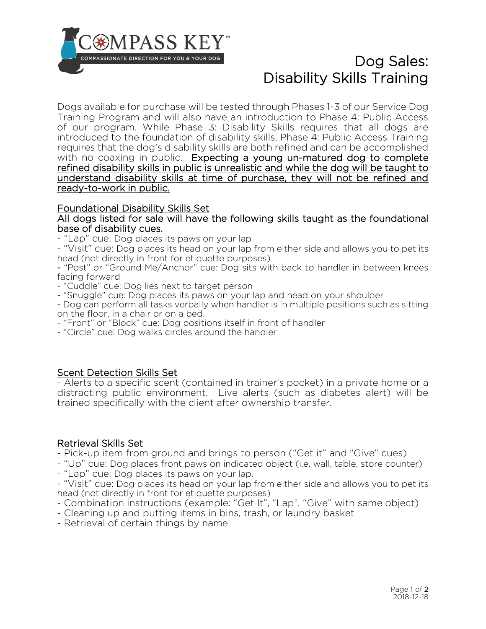

# Dog Sales: Disability Skills Training

Dogs available for purchase will be tested through Phases 1-3 of our Service Dog Training Program and will also have an introduction to Phase 4: Public Access of our program. While Phase 3: Disability Skills requires that all dogs are introduced to the foundation of disability skills, Phase 4: Public Access Training requires that the dog's disability skills are both refined and can be accomplished with no coaxing in public. Expecting a young un-matured dog to complete refined disability skills in public is unrealistic and while the dog will be taught to understand disability skills at time of purchase, they will not be refined and ready-to-work in public.

# Foundational Disability Skills Set

All dogs listed for sale will have the following skills taught as the foundational base of disability cues.

- "Lap" cue: Dog places its paws on your lap

- "Visit" cue: Dog places its head on your lap from either side and allows you to pet its head (not directly in front for etiquette purposes)

- "Post" or "Ground Me/Anchor" cue: Dog sits with back to handler in between knees facing forward

- "Cuddle" cue: Dog lies next to target person

- "Snuggle" cue: Dog places its paws on your lap and head on your shoulder

- Dog can perform all tasks verbally when handler is in multiple positions such as sitting on the floor, in a chair or on a bed.

- "Front" or "Block" cue: Dog positions itself in front of handler

- "Circle" cue: Dog walks circles around the handler

### Scent Detection Skills Set

- Alerts to a specific scent (contained in trainer's pocket) in a private home or a distracting public environment. Live alerts (such as diabetes alert) will be trained specifically with the client after ownership transfer.

### Retrieval Skills Set

- Pick-up item from ground and brings to person ("Get it" and "Give" cues)

- "Up" cue: Dog places front paws on indicated object (i.e. wall, table, store counter)

- "Lap" cue: Dog places its paws on your lap.

- "Visit" cue: Dog places its head on your lap from either side and allows you to pet its head (not directly in front for etiquette purposes)

- Combination instructions (example: "Get It", "Lap", "Give" with same object)

- Cleaning up and putting items in bins, trash, or laundry basket

- Retrieval of certain things by name